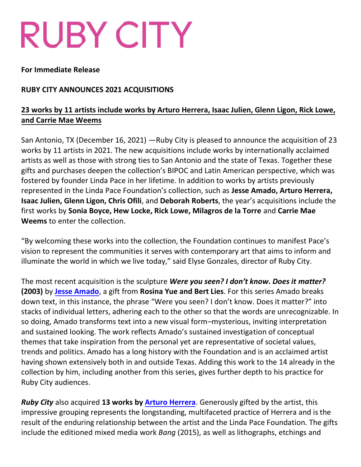# RUBY CITY

#### **For Immediate Release**

#### **RUBY CITY ANNOUNCES 2021 ACQUISITIONS**

## **23 works by 11 artists include works by Arturo Herrera, Isaac Julien, Glenn Ligon, Rick Lowe, and Carrie Mae Weems**

San Antonio, TX (December 16, 2021) —Ruby City is pleased to announce the acquisition of 23 works by 11 artists in 2021. The new acquisitions include works by internationally acclaimed artists as well as those with strong ties to San Antonio and the state of Texas. Together these gifts and purchases deepen the collection's BIPOC and Latin American perspective, which was fostered by founder Linda Pace in her lifetime. In addition to works by artists previously represented in the Linda Pace Foundation's collection, such as **Jesse Amado, Arturo Herrera, Isaac Julien, Glenn Ligon, Chris Ofili**, and **Deborah Roberts**, the year's acquisitions include the first works by **Sonia Boyce, Hew Locke, Rick Lowe, Milagros de la Torre** and **Carrie Mae Weems** to enter the collection.

"By welcoming these works into the collection, the Foundation continues to manifest Pace's vision to represent the communities it serves with contemporary art that aims to inform and illuminate the world in which we live today," said Elyse Gonzales, director of Ruby City.

The most recent acquisition is the sculpture *Were you seen? I don't know. Does it matter?* **(2003)** by **[Jesse Amado](https://ruizhealyart.com/artists/26-jesse-amado/)**, a gift from **Rosina Yue and Bert Lies**. For this series Amado breaks down text, in this instance, the phrase "Were you seen? I don't know. Does it matter?" into stacks of individual letters, adhering each to the other so that the words are unrecognizable. In so doing, Amado transforms text into a new visual form–mysterious, inviting interpretation and sustained looking. The work reflects Amado's sustained investigation of conceptual themes that take inspiration from the personal yet are representative of societal values, trends and politics. Amado has a long history with the Foundation and is an acclaimed artist having shown extensively both in and outside Texas. Adding this work to the 14 already in the collection by him, including another from this series, gives further depth to his practice for Ruby City audiences.

*Ruby City* also acquired **13 works by [Arturo Herrera](https://arturoherrera.org/)**. Generously gifted by the artist, this impressive grouping represents the longstanding, multifaceted practice of Herrera and is the result of the enduring relationship between the artist and the Linda Pace Foundation. The gifts include the editioned mixed media work *Bang* (2015), as well as lithographs, etchings and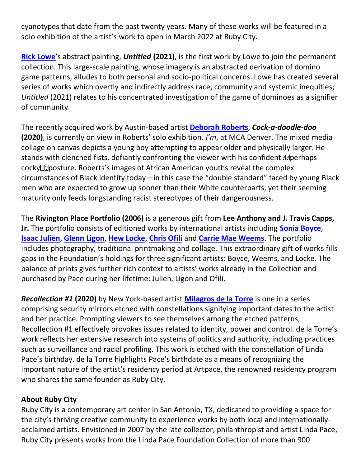cyanotypes that date from the past twenty years. Many of these works will be featured in a solo exhibition of the artist's work to open in March 2022 at Ruby City.

**[Rick Lowe](https://www.ricklowe.com/)**'s abstract painting, *Untitled* **(2021)**, is the first work by Lowe to join the permanent collection. This large-scale painting, whose imagery is an abstracted derivation of domino game patterns, alludes to both personal and socio-political concerns. Lowe has created several series of works which overtly and indirectly address race, community and systemic inequities; *Untitled* (2021) relates to his concentrated investigation of the game of dominoes as a signifier of community.

The recently acquired work by Austin-based artist **[Deborah Roberts](http://www.deborahrobertsart.com/artist-statement)**, *Cock-a-doodle-doo* **(2020)**, is currently on view in Roberts' solo exhibition, *I'm*, at MCA Denver. The mixed media collage on canvas depicts a young boy attempting to appear older and physically larger. He stands with clenched fists, defiantly confronting the viewer with his confident **Passigle** perhaps cocky **Posture.** Roberts's images of African American youths reveal the complex circumstances of Black identity today—in this case the "double standard" faced by young Black men who are expected to grow up sooner than their White counterparts, yet their seeming maturity only feeds longstanding racist stereotypes of their dangerousness.

The **Rivington Place Portfolio (2006)** is a generous gift from **Lee Anthony and J. Travis Capps, Jr.** The portfolio consists of editioned works by international artists including **[Sonia Boyce](https://soniaboyce.net/)**, **[Isaac Julien](https://www.isaacjulien.com/about/)**, **[Glenn Ligon](http://www.glennligonstudio.com/biography)**, **[Hew Locke](https://www.halesgallery.com/artists/15-hew-locke/overview/)**, **[Chris Ofili](https://www.tate.org.uk/art/artists/chris-ofili-2543)** and **[Carrie Mae Weems](http://carriemaeweems.net/bio.html)**. The portfolio includes photography, traditional printmaking and collage. This extraordinary gift of works fills gaps in the Foundation's holdings for three significant artists: Boyce, Weems, and Locke. The balance of prints gives further rich context to artists' works already in the Collection and purchased by Pace during her lifetime: Julien, Ligon and Ofili.

*Recollection #1* **(2020)** by New York-based artist **[Milagros de la Torre](https://www.milagrosdelatorre.com/biography)** is one in a series comprising security mirrors etched with constellations signifying important dates to the artist and her practice. Prompting viewers to see themselves among the etched patterns, Recollection #1 effectively provokes issues related to identity, power and control. de la Torre's work reflects her extensive research into systems of politics and authority, including practices such as surveillance and racial profiling. This work is etched with the constellation of Linda Pace's birthday. de la Torre highlights Pace's birthdate as a means of recognizing the important nature of the artist's residency period at Artpace, the renowned residency program who shares the same founder as Ruby City.

### **About Ruby City**

Ruby City is a contemporary art center in San Antonio, TX, dedicated to providing a space for the city's thriving creative community to experience works by both local and internationallyacclaimed artists. Envisioned in 2007 by the late collector, philanthropist and artist Linda Pace, Ruby City presents works from the Linda Pace Foundation Collection of more than 900